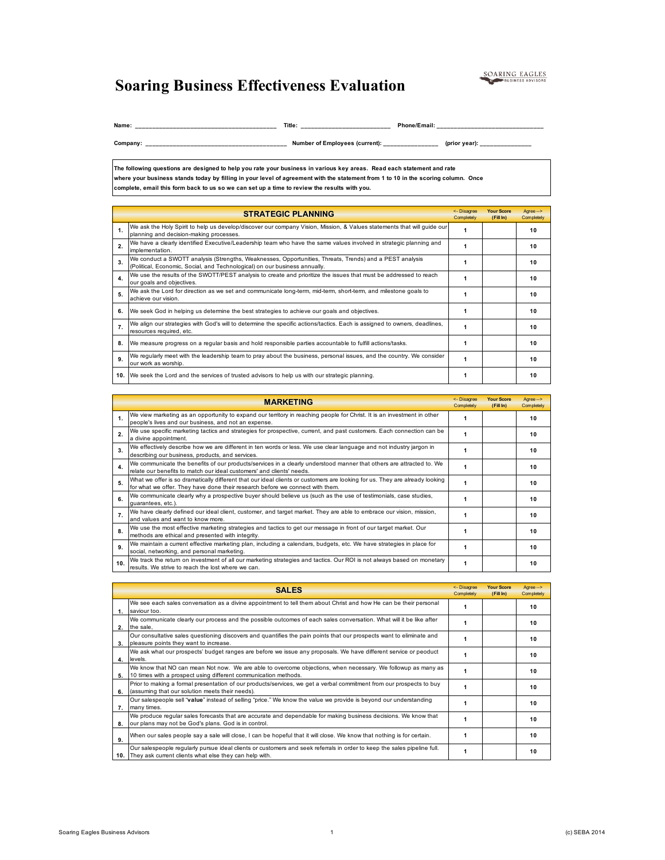## SOARING EAGLES

## **Soaring Business Effectiveness Evaluation**

**Name: \_\_\_\_\_\_\_\_\_\_\_\_\_\_\_\_\_\_\_\_\_\_\_\_\_\_\_\_\_\_\_\_\_\_\_\_\_\_\_\_\_ Title: \_\_\_\_\_\_\_\_\_\_\_\_\_\_\_\_\_\_\_\_\_\_\_\_\_\_ Phone/Email: \_\_\_\_\_\_\_\_\_\_\_\_\_\_\_\_\_\_\_\_\_\_\_\_\_\_\_\_\_\_\_**

**Company: \_\_\_\_\_\_\_\_\_\_\_\_\_\_\_\_\_\_\_\_\_\_\_\_\_\_\_\_\_\_\_\_\_\_\_\_\_\_\_\_\_ Number of Employees (current): \_\_\_\_\_\_\_\_\_\_\_\_\_\_\_\_ (prior year): \_\_\_\_\_\_\_\_\_\_\_\_\_\_\_** 

**The following questions are designed to help you rate your business in various key areas. Read each statement and rate where your business stands today by filling in your level of agreement with the statement from 1 to 10 in the scoring column. Once complete, email this form back to us so we can set up a time to review the results with you.**

|                | <b>STRATEGIC PLANNING</b>                                                                                                                                                             | <- Disagree<br>Completely | <b>Your Score</b><br>(FillIn) | Agree--><br>Completely |
|----------------|---------------------------------------------------------------------------------------------------------------------------------------------------------------------------------------|---------------------------|-------------------------------|------------------------|
| $\mathbf{1}$ . | We ask the Holy Spirit to help us develop/discover our company Vision, Mission, & Values statements that will guide our<br>planning and decision-making processes.                    |                           |                               | 10                     |
| 2.             | We have a clearly identified Executive/Leadership team who have the same values involved in strategic planning and<br>implementation.                                                 |                           |                               | 10                     |
| 3              | We conduct a SWOTT analysis (Strengths, Weaknesses, Opportunities, Threats, Trends) and a PEST analysis<br>(Political, Economic, Social, and Technological) on our business annually. |                           |                               | 10                     |
| 4.             | We use the results of the SWOTT/PEST analysis to create and prioritize the issues that must be addressed to reach<br>our goals and objectives.                                        |                           |                               | 10                     |
| 5.             | We ask the Lord for direction as we set and communicate long-term, mid-term, short-term, and milestone goals to<br>achieve our vision.                                                |                           |                               | 10                     |
| 6.             | We seek God in helping us determine the best strategies to achieve our goals and objectives.                                                                                          |                           |                               | 10                     |
| 7.             | We align our strategies with God's will to determine the specific actions/tactics. Each is assigned to owners, deadlines,<br>resources required, etc.                                 |                           |                               | 10                     |
| 8.             | We measure progress on a regular basis and hold responsible parties accountable to fulfill actions/tasks.                                                                             |                           |                               | 10                     |
| 9              | We regularly meet with the leadership team to pray about the business, personal issues, and the country. We consider<br>our work as worship.                                          |                           |                               | 10                     |
|                | 10. We seek the Lord and the services of trusted advisors to help us with our strategic planning.                                                                                     |                           |                               | 10                     |

|                | <b>MARKETING</b>                                                                                                                                                                                             | <- Disagree<br>Completely | <b>Your Score</b><br>(FillIn) | Agree--><br>Completely |
|----------------|--------------------------------------------------------------------------------------------------------------------------------------------------------------------------------------------------------------|---------------------------|-------------------------------|------------------------|
| $\mathbf{1}$ . | We view marketing as an opportunity to expand our territory in reaching people for Christ. It is an investment in other<br>people's lives and our business, and not an expense.                              |                           |                               | 10                     |
| 2.             | We use specific marketing tactics and strategies for prospective, current, and past customers. Each connection can be<br>a divine appointment.                                                               |                           |                               | 10                     |
| 3.             | We effectively describe how we are different in ten words or less. We use clear language and not industry jargon in<br>describing our business, products, and services.                                      |                           |                               | 10                     |
| 4.             | We communicate the benefits of our products/services in a clearly understood manner that others are attracted to. We<br>relate our benefits to match our ideal customers' and clients' needs.                |                           |                               | 10                     |
| 5.             | What we offer is so dramatically different that our ideal clients or customers are looking for us. They are already looking<br>for what we offer. They have done their research before we connect with them. |                           |                               | 10                     |
| 6.             | We communicate clearly why a prospective buyer should believe us (such as the use of testimonials, case studies,<br>quarantees, etc.).                                                                       |                           |                               | 10                     |
| 7.             | We have clearly defined our ideal client, customer, and target market. They are able to embrace our vision, mission,<br>and values and want to know more.                                                    |                           |                               | 10                     |
| 8.             | We use the most effective marketing strategies and tactics to get our message in front of our target market. Our<br>methods are ethical and presented with integrity.                                        |                           |                               | 10                     |
| 9.             | We maintain a current effective marketing plan, including a calendars, budgets, etc. We have strategies in place for<br>social, networking, and personal marketing.                                          |                           |                               | 10                     |
| 10.            | We track the retum on investment of all our marketing strategies and tactics. Our ROI is not always based on monetary<br>results. We strive to reach the lost where we can.                                  | 1                         |                               | 10                     |

|    | <b>SALES</b>                                                                                                                                                                           | <- Disagree<br>Completely | <b>Your Score</b><br>(Fill In) | Agree --><br>Completely |
|----|----------------------------------------------------------------------------------------------------------------------------------------------------------------------------------------|---------------------------|--------------------------------|-------------------------|
| 1. | We see each sales conversation as a divine appointment to tell them about Christ and how He can be their personal<br>saviour too.                                                      |                           |                                | 10                      |
| 2. | We communicate clearly our process and the possible outcomes of each sales conversation. What will it be like after<br>the sale.                                                       |                           |                                | 10                      |
| 3. | Our consultative sales questioning discovers and quantifies the pain points that our prospects want to eliminate and<br>pleasure points they want to increase.                         |                           |                                | 10                      |
| 4. | We ask what our prospects' budget ranges are before we issue any proposals. We have different service or peoduct<br>levels.                                                            |                           |                                | 10                      |
| 5. | We know that NO can mean Not now. We are able to overcome objections, when necessary. We followup as many as<br>10 times with a prospect using different communication methods.        |                           |                                | 10                      |
| 6. | Prior to making a formal presentation of our products/services, we get a verbal commitment from our prospects to buy<br>(assuming that our solution meets their needs).                |                           |                                | 10                      |
| 7. | Our salespeople sell "value" instead of selling "price." We know the value we provide is beyond our understanding<br>many times.                                                       |                           |                                | 10                      |
| 8. | We produce regular sales forecasts that are accurate and dependable for making business decisions. We know that<br>our plans may not be God's plans. God is in control.                |                           |                                | 10                      |
| 9. | When our sales people say a sale will close, I can be hopeful that it will close. We know that nothing is for certain.                                                                 |                           |                                | 10                      |
|    | Our salespeople regularly pursue ideal clients or customers and seek referrals in order to keep the sales pipeline full.<br>10. They ask current clients what else they can help with. |                           |                                | 10                      |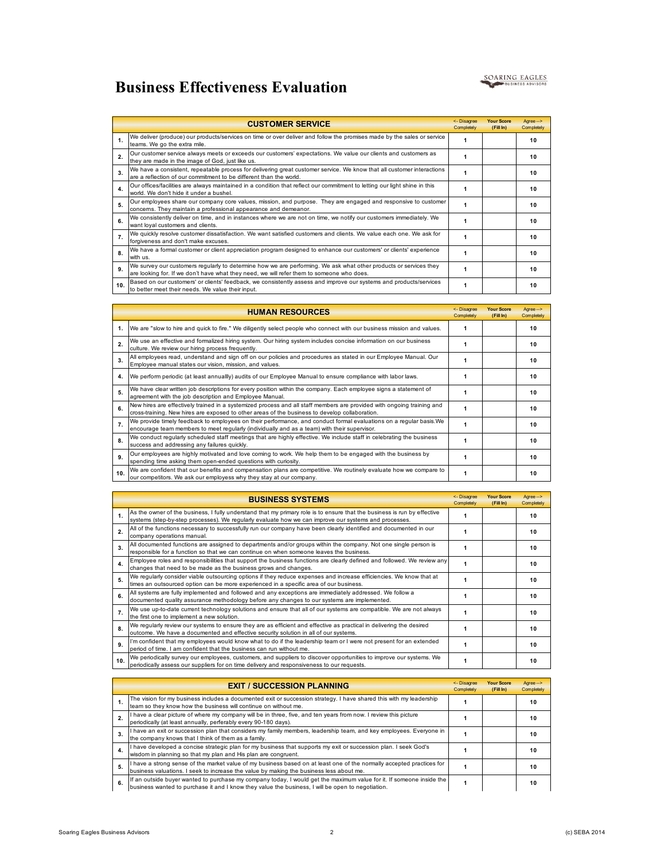## **Business Effectiveness Evaluation**



|                  | <b>CUSTOMER SERVICE</b>                                                                                                                                                                                        | <- Disagree<br>Completely | <b>Your Score</b><br>(Fill In) | Agree --><br>Completely |
|------------------|----------------------------------------------------------------------------------------------------------------------------------------------------------------------------------------------------------------|---------------------------|--------------------------------|-------------------------|
| $\mathbf{1}$     | We deliver (produce) our products/services on time or over deliver and follow the promises made by the sales or service<br>teams. We go the extra mile.                                                        |                           |                                | 10                      |
| $\overline{ }$   | Our customer service always meets or exceeds our customers' expectations. We value our clients and customers as<br>they are made in the image of God, just like us.                                            |                           |                                | 10                      |
| 3.               | We have a consistent, repeatable process for delivering great customer service. We know that all customer interactions<br>are a reflection of our commitment to be different than the world.                   |                           |                                | 10                      |
| $\mathbf{4}$     | Our offices/facilities are always maintained in a condition that reflect our commitment to letting our light shine in this<br>world. We don't hide it under a bushel.                                          |                           |                                | 10                      |
| 5.               | Our employees share our company core values, mission, and purpose. They are engaged and responsive to customer<br>concerns. They maintain a professional appearance and demeanor.                              | 1                         |                                | 10                      |
| 6                | We consistently deliver on time, and in instances where we are not on time, we notify our customers immediately. We<br>want loyal customers and clients.                                                       |                           |                                | 10                      |
| $\overline{7}$ . | We quickly resolve customer dissatisfaction. We want satisfied customers and clients. We value each one. We ask for<br>forgiveness and don't make excuses.                                                     |                           |                                | 10                      |
| 8.               | We have a formal customer or client appreciation program designed to enhance our customers' or clients' experience<br>with us.                                                                                 |                           |                                | 10                      |
| <b>g</b>         | We survey our customers regularly to determine how we are performing. We ask what other products or services they<br>are looking for. If we don't have what they need, we will refer them to someone who does. | 1                         |                                | 10                      |
| 10.              | Based on our customers' or clients' feedback, we consistently assess and improve our systems and products/services<br>to better meet their needs. We value their input.                                        | 1                         |                                | 10                      |

|                  | <b>HUMAN RESOURCES</b>                                                                                                                                                                                                   | <- Disagree<br>Completely | <b>Your Score</b><br>(Fill In) | Agree --><br>Completely |
|------------------|--------------------------------------------------------------------------------------------------------------------------------------------------------------------------------------------------------------------------|---------------------------|--------------------------------|-------------------------|
|                  | 1. We are "slow to hire and quick to fire." We diligently select people who connect with our business mission and values.                                                                                                | 1                         |                                | 10                      |
| 2.               | We use an effective and formalized hiring system. Our hiring system includes concise information on our business<br>culture. We review our hiring process frequently.                                                    | 1                         |                                | 10                      |
| 3.               | All employees read, understand and sign off on our policies and procedures as stated in our Employee Manual. Our<br>Employee manual states our vision, mission, and values.                                              | 1                         |                                | 10                      |
| 4.               | We perform periodic (at least annuallly) audits of our Employee Manual to ensure compliance with labor laws.                                                                                                             |                           |                                | 10                      |
| 5.               | We have clear written job descriptions for every position within the company. Each employee signs a statement of<br>agreement with the job description and Employee Manual.                                              | 1                         |                                | 10                      |
| 6.               | New hires are effectively trained in a systemized process and all staff members are provided with ongoing training and<br>cross-training. New hires are exposed to other areas of the business to develop collaboration. | 1                         |                                | 10                      |
| $\overline{7}$ . | We provide timely feedback to employees on their performance, and conduct formal evaluations on a regular basis. We<br>encourage team members to meet regularly (individually and as a team) with their supervisor.      | 1                         |                                | 10                      |
| 8.               | We conduct regularly scheduled staff meetings that are highly effective. We include staff in celebrating the business<br>success and addressing any failures quickly.                                                    | 1                         |                                | 10                      |
| 9.               | Our employees are highly motivated and love coming to work. We help them to be engaged with the business by<br>spending time asking them open-ended questions with curiosity.                                            | 1                         |                                | 10                      |
| 10.              | We are confident that our benefits and compensation plans are competitive. We routinely evaluate how we compare to<br>our competitors. We ask our employess why they stay at our company.                                | 1                         |                                | 10                      |

|                  | <b>BUSINESS SYSTEMS</b>                                                                                                                                                                                                           | <- Disagree<br>Completely | <b>Your Score</b><br>(Fill In) | Agree--><br>Completely |
|------------------|-----------------------------------------------------------------------------------------------------------------------------------------------------------------------------------------------------------------------------------|---------------------------|--------------------------------|------------------------|
| 1                | As the owner of the business, I fully understand that my primary role is to ensure that the business is run by effective<br>systems (step-by-step processes). We regularly evaluate how we can improve our systems and processes. |                           |                                | 10                     |
| 2.               | All of the functions necessary to successfully run our company have been clearly identified and documented in our<br>company operations manual.                                                                                   |                           |                                | 10                     |
| 3.               | All documented functions are assigned to departments and/or groups within the company. Not one single person is<br>responsible for a function so that we can continue on when someone leaves the business.                        |                           |                                | 10                     |
| 4.               | Employee roles and responsibilities that support the business functions are clearly defined and followed. We review any<br>changes that need to be made as the business grows and changes.                                        |                           |                                | 10                     |
| 5.               | We regularly consider viable outsourcing options if they reduce expenses and increase efficiencies. We know that at<br>times an outsourced option can be more experienced in a specific area of our business.                     |                           |                                | 10                     |
| 6.               | All systems are fully implemented and followed and any exceptions are immediately addressed. We follow a<br>documented quality assurance methodology before any changes to our systems are implemented.                           |                           |                                | 10                     |
| $\overline{7}$ . | We use up-to-date current technology solutions and ensure that all of our systems are compatible. We are not always<br>the first one to implement a new solution.                                                                 |                           |                                | 10                     |
| 8.               | We regularly review our systems to ensure they are as efficient and effective as practical in delivering the desired<br>outcome. We have a documented and effective security solution in all of our systems.                      |                           |                                | 10                     |
| 9.               | I'm confident that my employees would know what to do if the leadership team or I were not present for an extended<br>period of time. I am confident that the business can run without me.                                        |                           |                                | 10                     |
| 10.              | We periodically survey our employees, customers, and suppliers to discover opportunities to improve our systems. We<br>periodically assess our suppliers for on time delivery and responsiveness to our requests.                 | 1                         |                                | 10                     |

|    | <b>EXIT / SUCCESSION PLANNING</b>                                                                                                                                                                                         | <- Disagree<br>Completely | <b>Your Score</b><br>(Fill In) | Agree --><br>Completely |
|----|---------------------------------------------------------------------------------------------------------------------------------------------------------------------------------------------------------------------------|---------------------------|--------------------------------|-------------------------|
|    | The vision for my business includes a documented exit or succession strategy. I have shared this with my leadership<br>team so they know how the business will continue on without me.                                    |                           |                                | 10                      |
|    | I have a clear picture of where my company will be in three, five, and ten years from now. I review this picture<br>periodically (at least annually, perferably every 90-180 days).                                       |                           |                                | 10                      |
| 3. | I have an exit or succession plan that considers my family members, leadership team, and key employees. Everyone in<br>the company knows that I think of them as a family.                                                |                           |                                | 10                      |
| 4. | I have developed a concise strategic plan for my business that supports my exit or succession plan. I seek God's<br>wisdom in planning so that my plan and His plan are congruent.                                        |                           |                                | 10                      |
| 5. | I have a strong sense of the market value of my business based on at least one of the normally accepted practices for<br>business valuations. I seek to increase the value by making the business less about me.          |                           |                                | 10                      |
| 6. | If an outside buyer wanted to purchase my company today, I would get the maximum value for it. If someone inside the<br>business wanted to purchase it and I know they value the business, I will be open to negotiation. |                           |                                | 10                      |